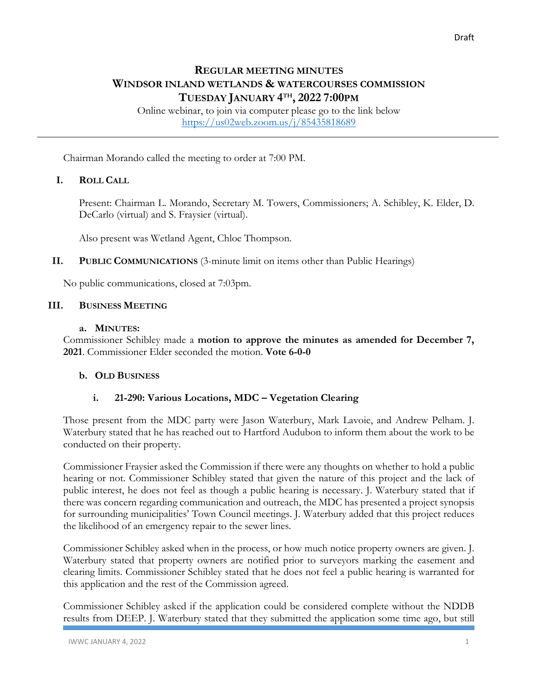# **REGULAR MEETING MINUTES WINDSOR INLAND WETLANDS & WATERCOURSES COMMISSION TUESDAY JANUARY 4TH, 2022 7:00PM**

Online webinar, to join via computer please go to the link below <https://us02web.zoom.us/j/85435818689>

Chairman Morando called the meeting to order at 7:00 PM.

### **I. ROLL CALL**

Present: Chairman L. Morando, Secretary M. Towers, Commissioners; A. Schibley, K. Elder, D. DeCarlo (virtual) and S. Fraysier (virtual).

Also present was Wetland Agent, Chloe Thompson.

#### **II. PUBLIC COMMUNICATIONS** (3-minute limit on items other than Public Hearings)

No public communications, closed at 7:03pm.

#### **III. BUSINESS MEETING**

#### **a. MINUTES:**

Commissioner Schibley made a **motion to approve the minutes as amended for December 7, 2021**. Commissioner Elder seconded the motion. **Vote 6-0-0**

#### **b. OLD BUSINESS**

# **i. 21-290: Various Locations, MDC – Vegetation Clearing**

Those present from the MDC party were Jason Waterbury, Mark Lavoie, and Andrew Pelham. J. Waterbury stated that he has reached out to Hartford Audubon to inform them about the work to be conducted on their property.

Commissioner Fraysier asked the Commission if there were any thoughts on whether to hold a public hearing or not. Commissioner Schibley stated that given the nature of this project and the lack of public interest, he does not feel as though a public hearing is necessary. J. Waterbury stated that if there was concern regarding communication and outreach, the MDC has presented a project synopsis for surrounding municipalities' Town Council meetings. J. Waterbury added that this project reduces the likelihood of an emergency repair to the sewer lines.

Commissioner Schibley asked when in the process, or how much notice property owners are given. J. Waterbury stated that property owners are notified prior to surveyors marking the easement and clearing limits. Commissioner Schibley stated that he does not feel a public hearing is warranted for this application and the rest of the Commission agreed.

Commissioner Schibley asked if the application could be considered complete without the NDDB results from DEEP. J. Waterbury stated that they submitted the application some time ago, but still